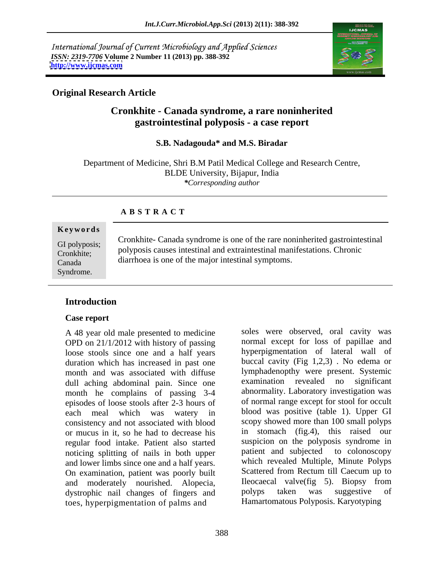International Journal of Current Microbiology and Applied Sciences *ISSN: 2319-7706* **Volume 2 Number 11 (2013) pp. 388-392 <http://www.ijcmas.com>**



### **Original Research Article**

# **Cronkhite - Canada syndrome, a rare noninherited gastrointestinal polyposis - a case report**

**S.B. Nadagouda\* and M.S. Biradar** 

Department of Medicine, Shri B.M Patil Medical College and Research Centre, BLDE University, Bijapur, India *\*Corresponding author*

### **A B S T R A C T**

#### **Ke ywo rds**

Syndrome.

GI polyposis;<br> $\frac{1}{2}$  contained a syndicatively solve of the fact home contractively associated in the contract of the contract of the contract of the contract of the contract of the contract of the contract of the contr Cronkhite; polyposis causes intestinal and extraintestinal manifestations. Chronic Canada diarrhoea is one of the major intestinal symptoms.Cronkhite- Canada syndrome is one of the rare noninherited gastrointestinal

### **Introduction**

#### **Case report**

A 48 year old male presented to medicine OPD on 21/1/2012 with history of passing loose stools since one and a half years duration which has increased in past one month and was associated with diffuse lymphadenopthy were present. Systemic<br>dull aching abdominal pain. Since one examination revealed no significant dull aching abdominal pain. Since one month he complains of passing 3-4 episodes of loose stools after 2-3 hours of consistency and not associated with blood or mucus in it, so he had to decrease his regular food intake. Patient also started noticing splitting of nails in both upper and lower limbs since one and a half years. On examination, patient was poorly built and moderately nourished. Alopecia, Ileocaecal valve(fig 5). Biopsy from<br>dystrophic nail changes of fingers and polyps taken was suggestive of dystrophic nail changes of fingers and toes, hyperpigmentation of palms and

each meal which was watery in blood was positive (table 1). Upper GI soles were observed, oral cavity was normal except for loss of papillae and hyperpigmentation of lateral wall of buccal cavity (Fig 1,2,3) . No edema or lymphadenopthy were present. Systemic examination revealed no abnormality. Laboratory investigation was of normal range except for stool for occult scopy showed more than 100 small polyps in stomach (fig.4), this raised our suspicion on the polyposis syndrome in patient and subjected to colonoscopy which revealed Multiple, Minute Polyps Scattered from Rectum till Caecum up to Ileocaecal valve(fig 5). Biopsy from polyps taken was suggestive of Hamartomatous Polyposis. Karyotyping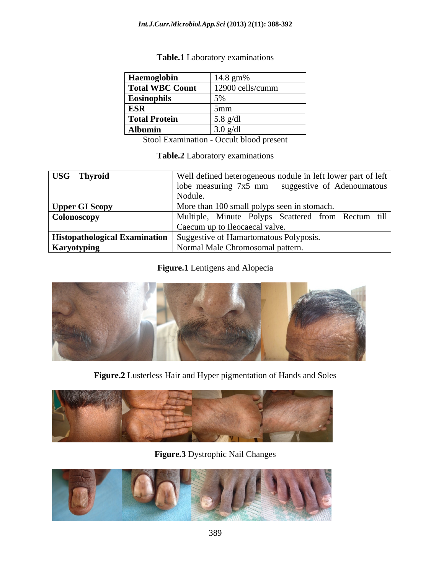| <b>Haemoglobin</b>     | 14.8 gm%           |
|------------------------|--------------------|
| <b>Total WBC Count</b> | 12900 cells/cumm   |
| Eosinophils            |                    |
| <b>ESR</b>             |                    |
| Total Protein          | $5.8 \text{ g/dl}$ |
| Albumin                | $3.0 \text{ g/d}$  |

### **Table.1** Laboratory examinations

Stool Examination - Occult blood present

### **Table.2** Laboratory examinations

| USG - Thyroid      | Well defined heterogeneous nodule in left lower part of left           |
|--------------------|------------------------------------------------------------------------|
|                    | lobe measuring $7x5$ mm – suggestive of Adenoumatous                   |
|                    | - Nodule                                                               |
| Upper GI Scopy     | More than 100 small polyps seen in stomach.                            |
| Colonoscopy        | Multiple, Minute Polyps Scattered from Rectum till                     |
|                    | Caecum up to Ileocaecal valve.                                         |
|                    | Histopathological Examination   Suggestive of Hamartomatous Polyposis. |
| <b>Karyotyping</b> | Normal Male Chromosomal pattern.                                       |

### **Figure.1** Lentigens and Alopecia



**Figure.2** Lusterless Hair and Hyper pigmentation of Hands and Soles



**Figure.3** Dystrophic Nail Changes

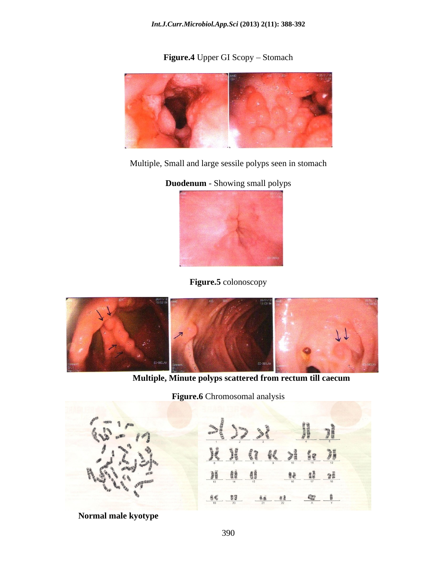**Figure.4** Upper GI Scopy - Stomach



Multiple, Small and large sessile polyps seen in stomach

**Duodenum** - Showing small polyps



**Figure.5** colonoscopy



**Multiple, Minute polyps scattered from rectum till caecum**

**Figure.6** Chromosomal analysis



 **Normal male kyotype**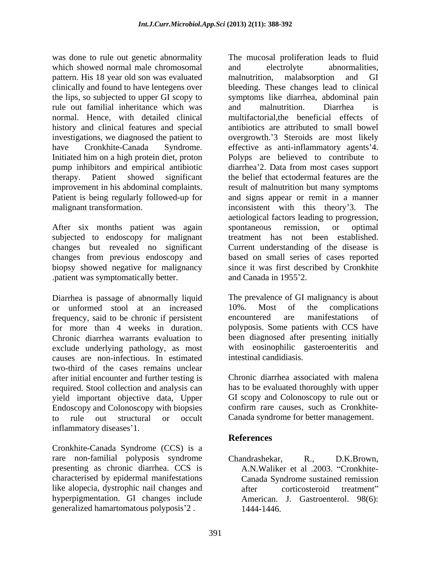was done to rule out genetic abnormality The mucosal proliferation leads to fluid which showed normal male chromosomal and electrolyte abnormalities, pattern. His 18 year old son was evaluated clinically and found to have lentegens over bleeding. These changes lead to clinical the lips, so subjected to upper GI scopy to symptoms like diarrhea, abdominal pain rule out familial inheritance which was and malnutrition. Diarrhea is normal. Hence, with detailed clinical history and clinical features and special investigations, we diagnosed the patient to overgrowth. 3 Steroids are most likely have Cronkhite-Canada Syndrome. effective as anti-inflammatory agents'4. Initiated him on a high protein diet, proton Polyps are believed to contribute to pump inhibitors and empirical antibiotic therapy. Patient showed significant the belief that ectodermal features are the improvement in his abdominal complaints. result of malnutrition but many symptoms Patient is being regularly followed-up for malignant transformation. inconsistent with this theory 3. The

After six months patient was again spontaneous remission, or optimal subjected to endoscopy for malignant changes but revealed no significant Current understanding of the disease is changes from previous endoscopy and based on small series of cases reported biopsy showed negative for malignancy since it was first described by Cronkhite .patient was symptomatically better.

Diarrhea is passage of abnormally liquid The prevalence of GI malignancy is about<br>or unformed stool at an increased 10%. Most of the complications or unformed stool at an increased 10%. Most of the frequency said to be chronic if persistent encountered are man frequency, said to be chronic if persistent encountered are manifestations of for more than 4 weeks in duration. Chronic diarrhea warrants evaluation to been diagnosed after presenting initially exclude underlying pathology, as most causes are non-infectious. In estimated two-third of the cases remains unclear after initial encounter and further testing is required. Stool collection and analysis can yield important objective data, Upper Endoscopy and Colonoscopy with biopsies to rule out structural or occult Canada syndrome for better management. inflammatory diseases 1.

Cronkhite-Canada Syndrome (CCS) is a rare non-familial polyposis syndrome Chandrashekar, R., D.K.Brown, presenting as chronic diarrhea. CCS is characterised by epidermal manifestations like alopecia, dystrophic nail changes and after corticosteroid treatment" hyperpigmentation. GI changes include

we hose is relations the much amount of the mucosal profileration leads to fluid and the much control in the much control in the system of the system of the system of the system of the system of the much control in the mu and electrolyte abnormalities, malnutrition, malabsorption and GI and malnutrition. Diarrhea is multifactorial,the beneficial effects of antibiotics are attributed to small bowel diarrhea'2. Data from most cases support and signs appear or remit in a manner aetiological factors leading to progression, spontaneous remission, or optimal treatment has not been established. and Canada in 1955 2.

The prevalence of GI malignancy is about 10%. Most of the complications encountered are manifestations of polyposis. Some patients with CCS have with eosinophilic gasteroenteritis and intestinal candidiasis.

Chronic diarrhea associated with malena has to be evaluated thoroughly with upper GI scopy and Colonoscopy to rule out or confirm rare causes, such as Cronkhite-

## **References**

Chandrashekar, R., D.K.Brown, A.N.Waliker et al .2003. "Cronkhite-Canada Syndrome sustained remission after corticosteroid treatment" American. J. Gastroenterol. 98(6): 1444-1446.